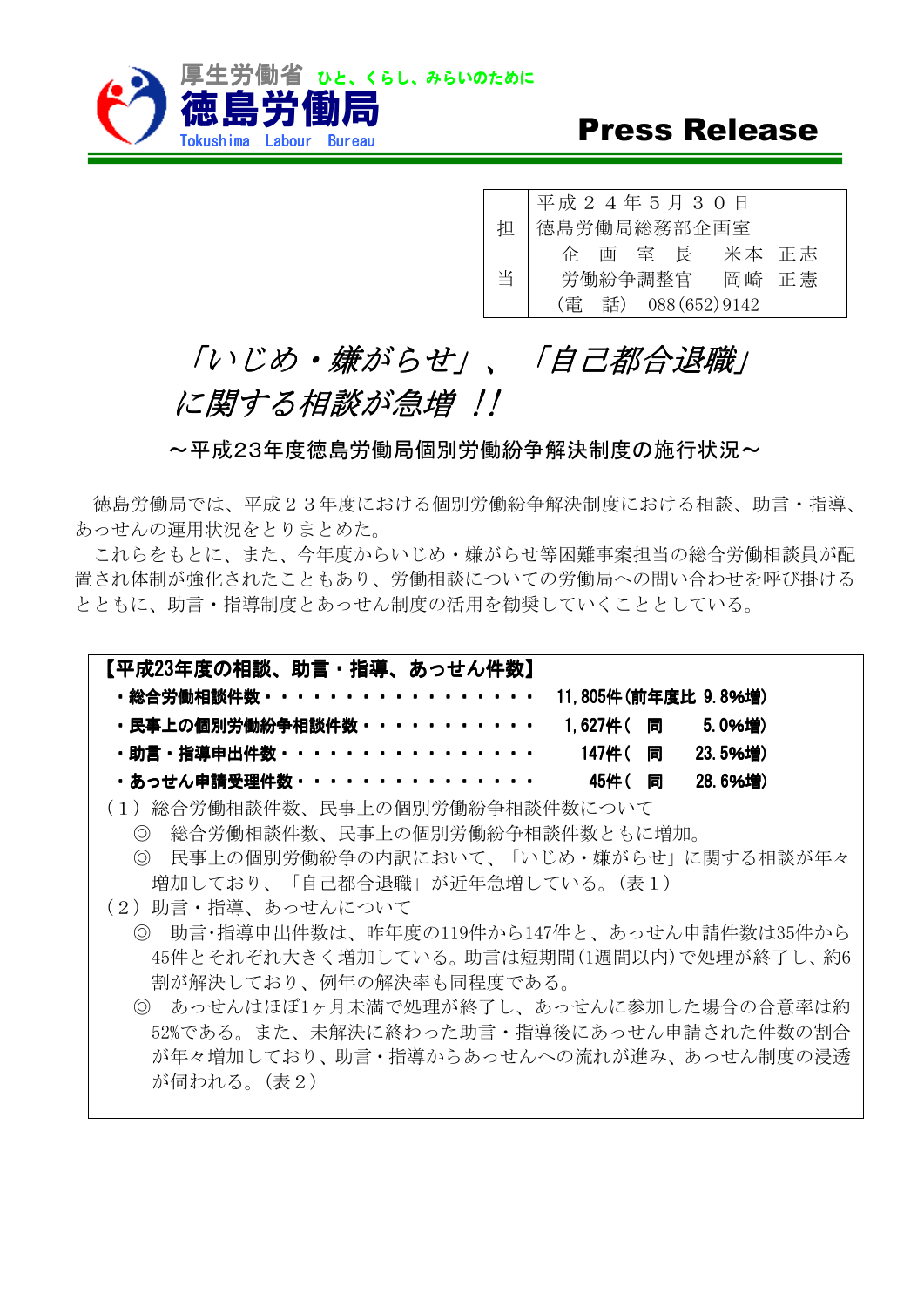

## **Press Release**

平成 2 4 年 5 月 3 0 日 徳島労働局総務部企画室 企 画 室 長 米本 正志 労働紛争調整官 岡崎 正憲 ᢸ 当 (㟁 ヰ) 088(652)9142

## 「いじめ・嫌がらせ」、「自己都合退職」 に関する相談が急増 !!

~平成23年度徳島労働局個別労働紛争解決制度の施行状況~

徳鳥労働局では、平成23年度における個別労働紛争解決制度における相談、助言·指導、 あっせんの運用状況をとりまとめた。

これらをもとに、また、今年度からいじめ·嫌がらせ等困難事案担当の総合労働相談員が配 置され体制が強化されたこともあり、労働相談についての労働局への問い合わせを呼び掛ける とともに、助言·指導制度とあっせん制度の活用を勧奨していくこととしている。

| 【平成23年度の相談、助言・指導、あっせん件数】                        |  |               |  |
|-------------------------------------------------|--|---------------|--|
| ・総合労働相談件数・・・・・・・・・・・・・・・・・・ 11.805件(前年度比 9.8%増) |  |               |  |
| ・民事上の個別労働紛争相談件数・・・・・・・・・・・ 1.627件( 同 5.0%増)     |  |               |  |
| ・助言・指導申出件数・・・・・・・・・・・・・・・・・   147件( 同 - 23.5%増) |  |               |  |
| ・あっせん申請受理件数・・・・・・・・・・・・・・・・                     |  | 45件(同 28.6%増) |  |
| (1)妐△労刷胡談研粉―昆車上の個別労働妐刍胡談研粉にへいて                  |  |               |  |

- (1)総合労働相談件数、民事上の個別労働紛争相談件数について
	- ◎ 総合労働相談件数、民事上の個別労働紛争相談件数ともに増加。 ◎ 民事上の個別労働紛争の内訳において、「いじめ・嫌がらせ」に関する相談が年々 増加しており、「自己都合退職」が近年急増している。(表1)
- (2) 助言·指導、あっせんについて
	- ◎ 助言·指導申出件数は、昨年度の119件から147件と、あっせん申請件数は35件から 45件とそれぞれ大きく増加している。助言は短期間(1週間以内)で処理が終了し、約6 割が解決しており、例年の解決率も同程度である。
	- ◎ あっせんはほぼ1ヶ月未満で処理が終了し、あっせんに参加した場合の合意率は約 52%である。また、未解決に終わった助言·指導後にあっせん申請された件数の割合 が年々増加しており、助言·指導からあっせんへの流れが進み、あっせん制度の浸透 が伺われる。(表2)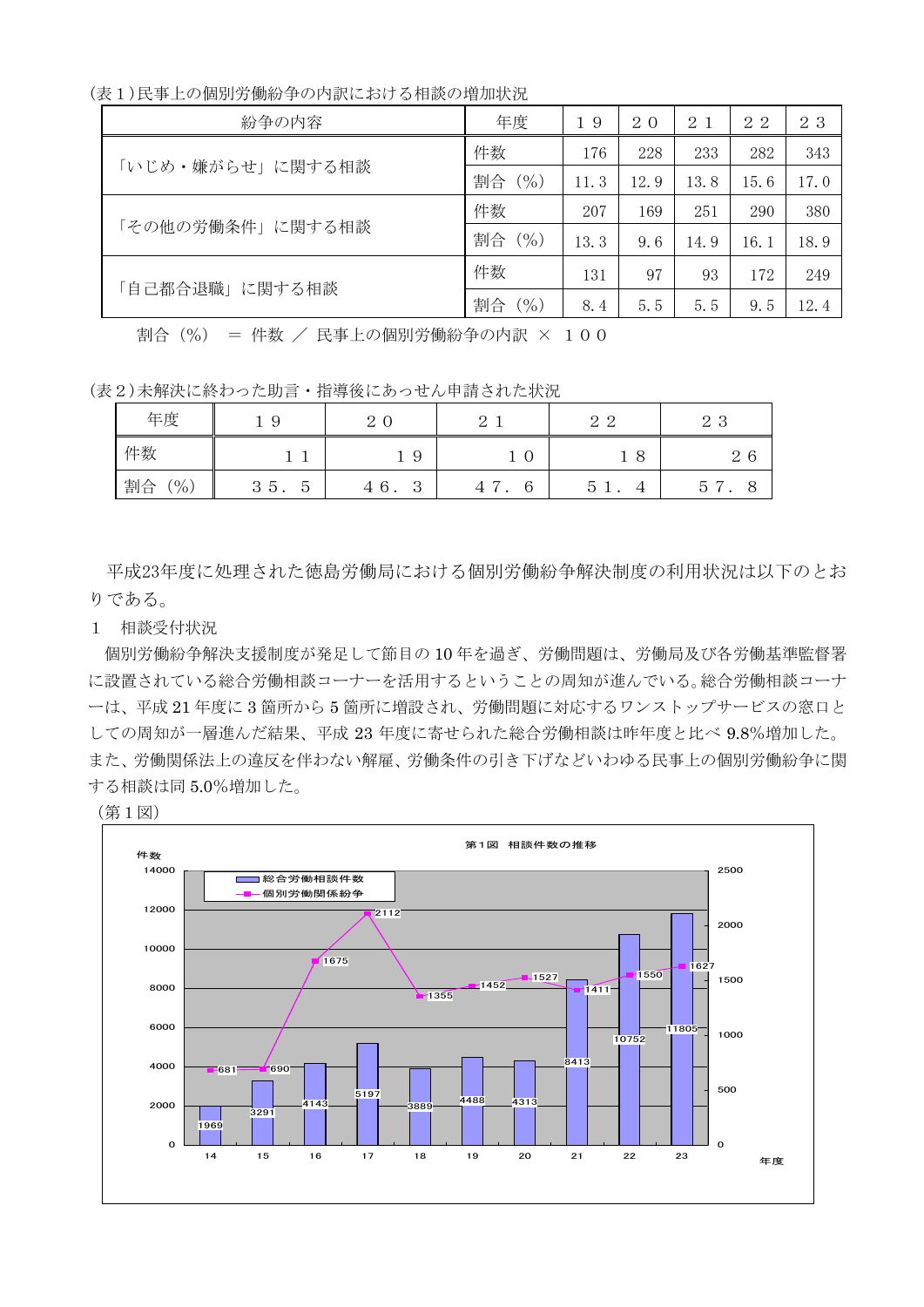(表1)民事上の個別労働紛争の内訳における相談の増加状況

| 紛争の内容            | 年度           | 19   | 20   | 2 1  | 22   | 23   |
|------------------|--------------|------|------|------|------|------|
| 「いじめ・嫌がらせ」に関する相談 | 件数           | 176  | 228  | 233  | 282  | 343  |
|                  | 割合 (%)       | 11.3 | 12.9 | 13.8 | 15.6 | 17.0 |
| 「その他の労働条件」に関する相談 | 件数           | 207  | 169  | 251  | 290  | 380  |
|                  | 割合 (%)       | 13.3 | 9.6  | 14.9 | 16.1 | 18.9 |
| 「自己都合退職」に関する相談   | 件数           | 131  | 97   | 93   | 172  | 249  |
|                  | $($ %)<br>割合 | 8.4  | 5.5  | 5.5  | 9.5  | 12.4 |

割合 (%) = 件数 / 民事上の個別労働紛争の内訳 × 100

(表2)未解決に終わった助言·指導後にあっせん申請された状況

| 年度           | 9<br><b>.</b>                      | $\Omega$<br>- 0<br>↩     | $\Omega$<br>↩       | ററ<br>↵<br>∼                      | റാ<br>$\sim$ 0  |
|--------------|------------------------------------|--------------------------|---------------------|-----------------------------------|-----------------|
| 件数           |                                    | 19                       | U<br>ᅩ              | 8                                 | 6<br>$\epsilon$ |
| 割合<br>$'$ %, | Q<br>$^{\circ}5$ .<br>$\circ$<br>◡ | 6.<br>$\Omega$<br>4<br>◡ | 6<br>$\overline{ }$ | $\overline{4}$<br>G<br><u>.</u> . | 5               |

平成23年度に処理された徳島労働局における個別労働紛争解決制度の利用状況は以下のとお りである。

1 相談受付状況

個別労働紛争解決支援制度が発足して節目の10年を過ぎ、労働問題は、労働局及び各労働基準監督署 に設置されている総合労働相談コーナーを活用するということの周知が進んでいる。総合労働相談コーナ 一は、平成21年度に3箇所から5箇所に増設され、労働問題に対応するワンストップサービスの窓口と しての周知が一層進んだ結果、平成23年度に寄せられた総合労働相談は昨年度と比べ9.8%増加した。 また、労働関係法上の違反を伴わない解雇、労働条件の引き下げなどいわゆる民事上の個別労働紛争に関 する相談は同5.0%増加した。

(第1図)

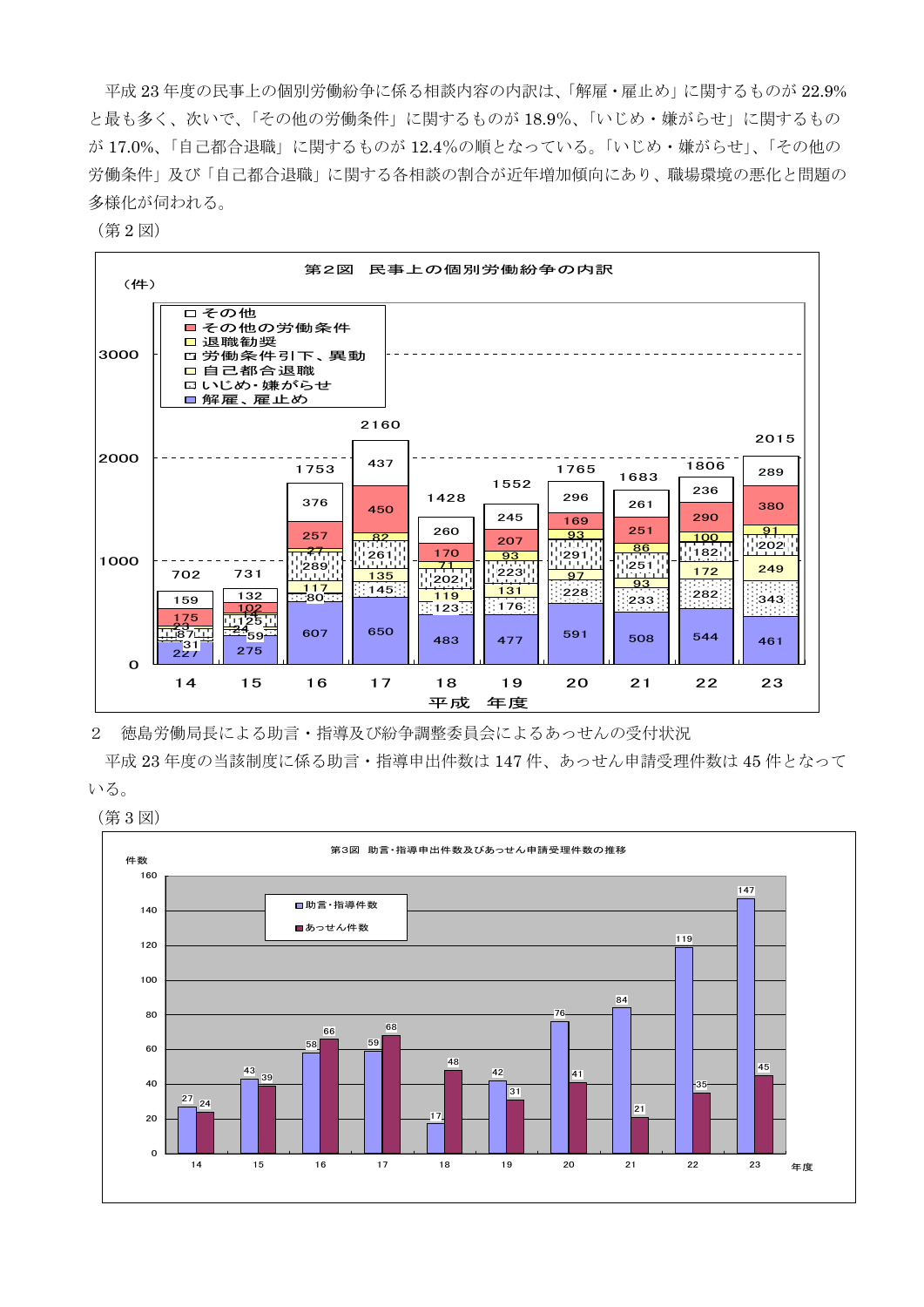平成 23年度の民事上の個別労働紛争に係る相談内容の内訳は、「解雇・雇止め」に関するものが 22.9% と最も多く、次いで、「その他の労働条件」に関するものが18.9%、「いじめ・嫌がらせ」に関するもの が17.0%、「自己都合退職」に関するものが12.4%の順となっている。「いじめ・嫌がらせ」、「その他の 労働条件」及び「自己都合退職」に関する各相談の割合が近年増加傾向にあり、職場環境の悪化と問題の 多様化が伺われる。

(第2図)



2 徳島労働局長による助言・指導及び紛争調整委員会によるあっせんの受付状況

平成 23 年度の当該制度に係る助言・指導申出件数は 147 件、あっせん申請受理件数は 45 件となって いる。

(第3図)

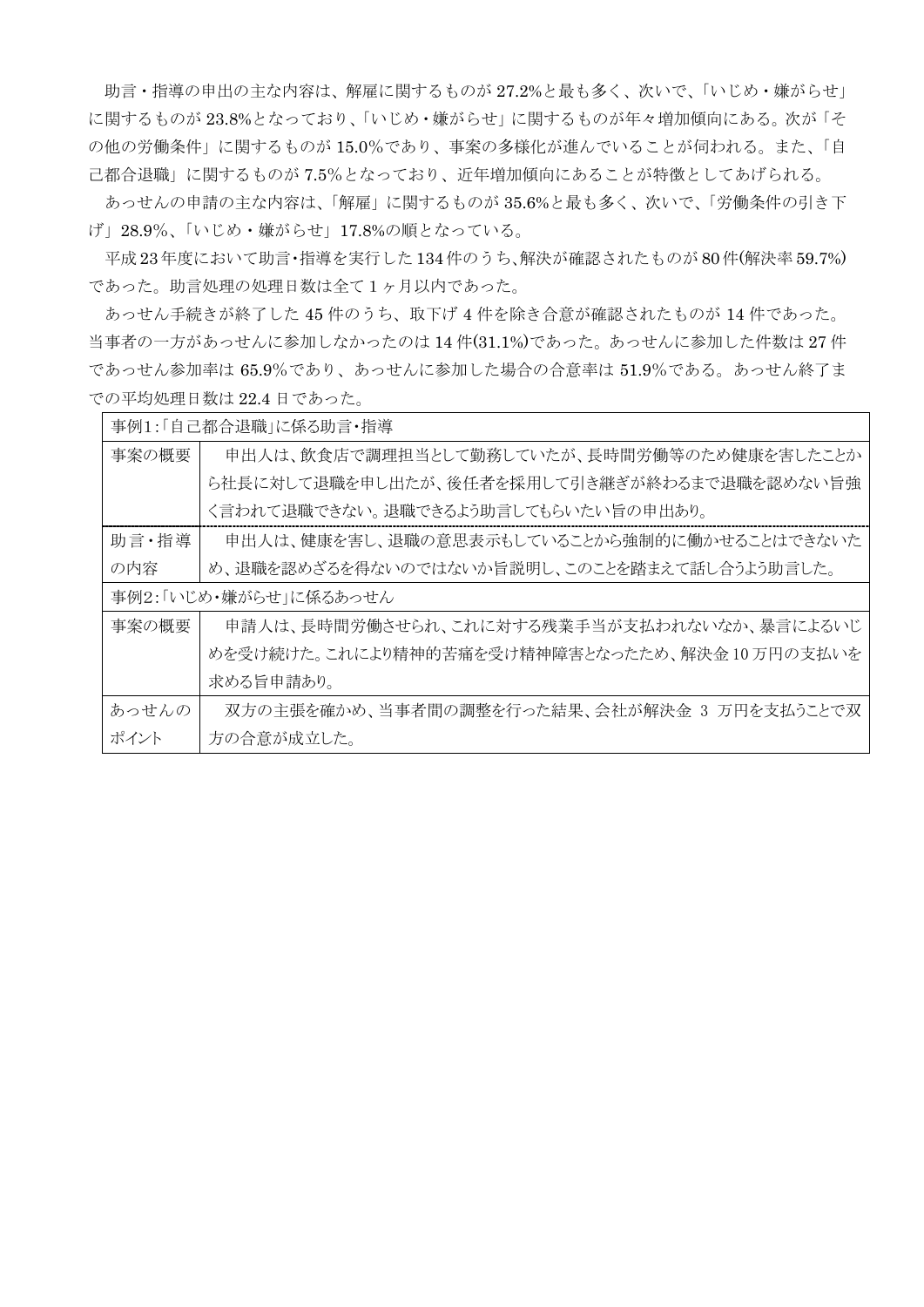助言・指導の申出の主な内容は、解雇に関するものが27.2%と最も多く、次いで、「いじめ・嫌がらせ」 に関するものが23.8%となっており、「いじめ·嫌がらせ」に関するものが年々増加傾向にある。次が「そ の他の労働条件」に関するものが15.0%であり、事案の多様化が進んでいることが伺われる。また、「自 己都合退職」に関するものが7.5%となっており、近年増加傾向にあることが特徴としてあげられる。

あっせんの申請の主な内容は、「解雇」に関するものが35.6%と最も多く、次いで、「労働条件の引き下 げ」28.9%、「いじめ・嫌がらせ」17.8%の順となっている。

平成 23年度において助言·指導を実行した134件のうち、解決が確認されたものが80件(解決率59.7%) であった。助言処理の処理日数は全て1ヶ月以内であった。

あっせん手続きが終了した45件のうち、取下げ4件を除き合意が確認されたものが14件であった。 当事者の一方があっせんに参加しなかったのは 14件(31.1%)であった。あっせんに参加した件数は27件 であっせん85.9%であり、あっせんに参加した場合の合意率は 51.9%である。あっせん終了ま での平均処理日数は 22.4 日であった。

| 事例1:「自己都合退職」に係る助言・指導  |                                              |  |  |  |
|-----------------------|----------------------------------------------|--|--|--|
| 事案の概要                 | 申出人は、飲食店で調理担当として勤務していたが、長時間労働等のため健康を害したことか   |  |  |  |
|                       | ら社長に対して退職を申し出たが、後任者を採用して引き継ぎが終わるまで退職を認めない旨強  |  |  |  |
|                       | く言われて退職できない。退職できるよう助言してもらいたい旨の申出あり。          |  |  |  |
| 助言·指導                 | 申出人は、健康を害し、退職の意思表示もしていることから強制的に働かせることはできないた  |  |  |  |
| の内容                   | め、退職を認めざるを得ないのではないか旨説明し、このことを踏まえて話し合うよう助言した。 |  |  |  |
| 事例2:「いじめ・嫌がらせ」に係るあっせん |                                              |  |  |  |
| 事案の概要                 | 申請人は、長時間労働させられ、これに対する残業手当が支払われないなか、暴言によるいじ   |  |  |  |
|                       | めを受け続けた。これにより精神的苦痛を受け精神障害となったため、解決金10万円の支払いを |  |  |  |
|                       | 求める旨申請あり。                                    |  |  |  |
| あっせんの                 | 双方の主張を確かめ、当事者間の調整を行った結果、会社が解決金 3 万円を支払うことで双  |  |  |  |
| ポイント                  | 方の合意が成立した。                                   |  |  |  |